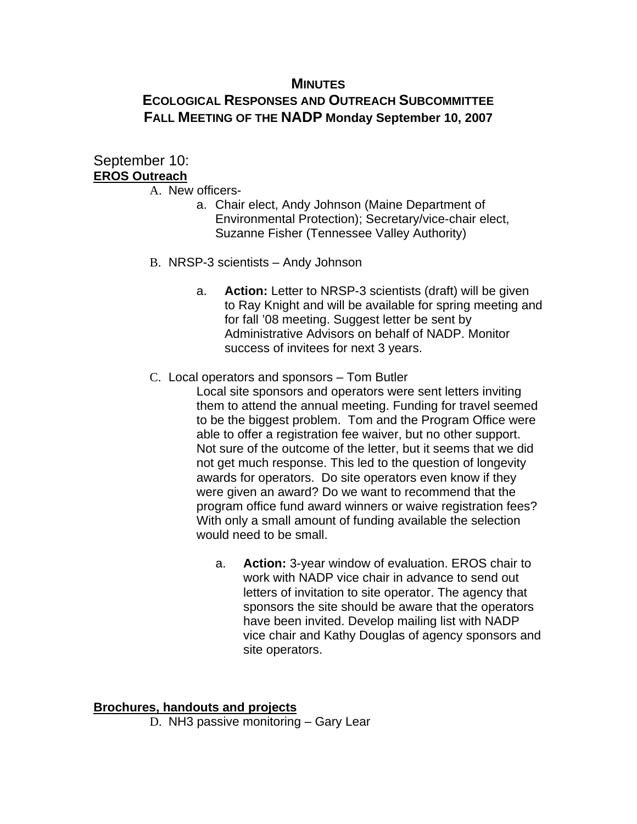### **MINUTES**

# **ECOLOGICAL RESPONSES AND OUTREACH SUBCOMMITTEE FALL MEETING OF THE NADP Monday September 10, 2007**

# September 10: **EROS Outreach**

- A. New officers
	- a. Chair elect, Andy Johnson (Maine Department of Environmental Protection); Secretary/vice-chair elect, Suzanne Fisher (Tennessee Valley Authority)
- B. NRSP-3 scientists Andy Johnson
	- a. **Action:** Letter to NRSP-3 scientists (draft) will be given to Ray Knight and will be available for spring meeting and for fall '08 meeting. Suggest letter be sent by Administrative Advisors on behalf of NADP. Monitor success of invitees for next 3 years.
- C. Local operators and sponsors Tom Butler

Local site sponsors and operators were sent letters inviting them to attend the annual meeting. Funding for travel seemed to be the biggest problem. Tom and the Program Office were able to offer a registration fee waiver, but no other support. Not sure of the outcome of the letter, but it seems that we did not get much response. This led to the question of longevity awards for operators. Do site operators even know if they were given an award? Do we want to recommend that the program office fund award winners or waive registration fees? With only a small amount of funding available the selection would need to be small.

a. **Action:** 3-year window of evaluation. EROS chair to work with NADP vice chair in advance to send out letters of invitation to site operator. The agency that sponsors the site should be aware that the operators have been invited. Develop mailing list with NADP vice chair and Kathy Douglas of agency sponsors and site operators.

#### **Brochures, handouts and projects**

D. NH3 passive monitoring – Gary Lear